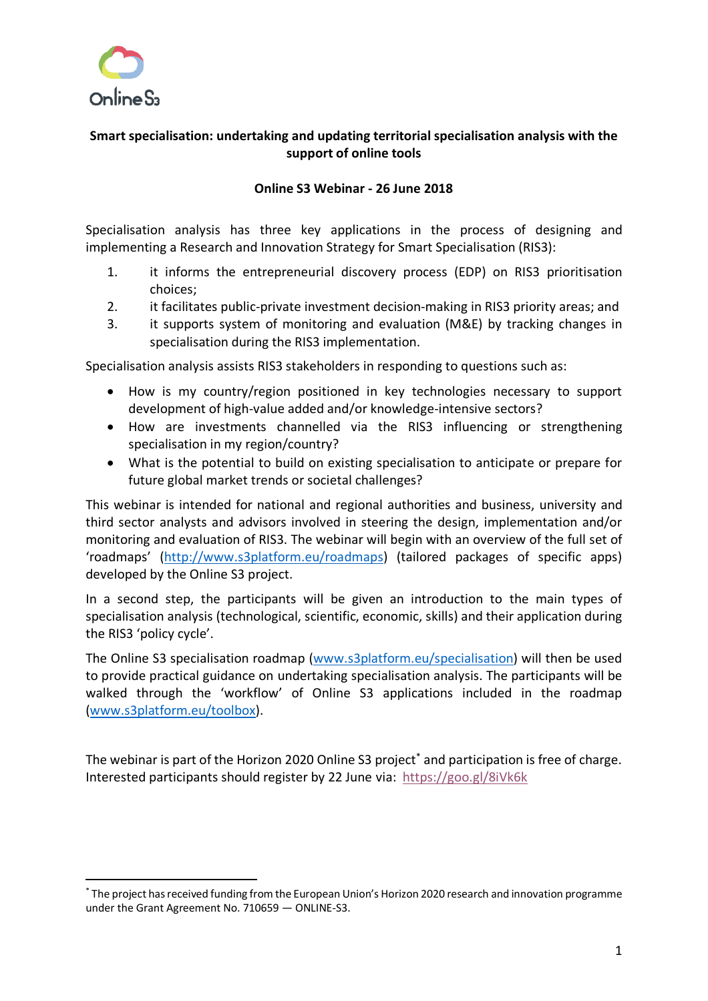

# **Smart specialisation: undertaking and updating territorial specialisation analysis with the support of online tools**

## **Online S3 Webinar - 26 June 2018**

Specialisation analysis has three key applications in the process of designing and implementing a Research and Innovation Strategy for Smart Specialisation (RIS3):

- 1. it informs the entrepreneurial discovery process (EDP) on RIS3 prioritisation choices;
- 2. it facilitates public-private investment decision-making in RIS3 priority areas; and
- 3. it supports system of monitoring and evaluation (M&E) by tracking changes in specialisation during the RIS3 implementation.

Specialisation analysis assists RIS3 stakeholders in responding to questions such as:

- How is my country/region positioned in key technologies necessary to support development of high-value added and/or knowledge-intensive sectors?
- How are investments channelled via the RIS3 influencing or strengthening specialisation in my region/country?
- What is the potential to build on existing specialisation to anticipate or prepare for future global market trends or societal challenges?

This webinar is intended for national and regional authorities and business, university and third sector analysts and advisors involved in steering the design, implementation and/or monitoring and evaluation of RIS3. The webinar will begin with an overview of the full set of 'roadmaps' (http://www.s3platform.eu/roadmaps) (tailored packages of specific apps) developed by the Online S3 project.

In a second step, the participants will be given an introduction to the main types of specialisation analysis (technological, scientific, economic, skills) and their application during the RIS3 'policy cycle'.

The Online S3 specialisation roadmap (www.s3platform.eu/specialisation) will then be used to provide practical guidance on undertaking specialisation analysis. The participants will be walked through the 'workflow' of Online S3 applications included in the roadmap (www.s3platform.eu/toolbox).

The webinar is part of the Horizon 2020 Online S3 project<sup>\*</sup> and participation is free of charge. Interested participants should register by 22 June via: https://goo.gl/8iVk6k

 <sup>\*</sup> The project has received funding from the European Union's Horizon 2020 research and innovation programme under the Grant Agreement No. 710659 — ONLINE-S3.